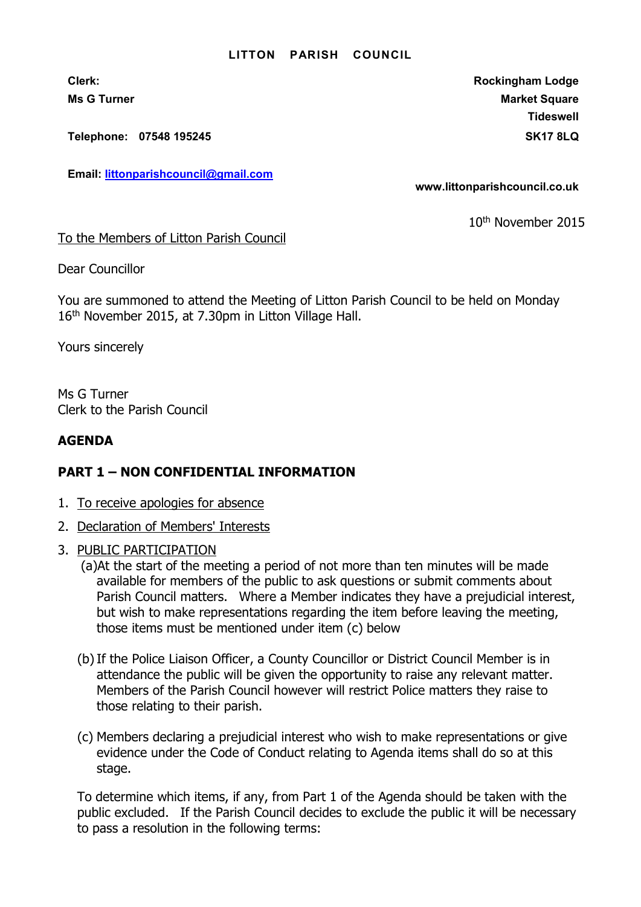Telephone: 07548 195245 SK17 8LQ

Email: littonparishcouncil@gmail.com

Clerk: Rockingham Lodge Ms G Turner Market Square Market Square Market Square Market Square Market Square **Tideswell** 

www.littonparishcouncil.co.uk

10th November 2015

# To the Members of Litton Parish Council

Dear Councillor

You are summoned to attend the Meeting of Litton Parish Council to be held on Monday 16th November 2015, at 7.30pm in Litton Village Hall.

Yours sincerely

Ms G Turner Clerk to the Parish Council

# AGENDA

# PART 1 – NON CONFIDENTIAL INFORMATION

- 1. To receive apologies for absence
- 2. Declaration of Members' Interests
- 3. PUBLIC PARTICIPATION
	- (a)At the start of the meeting a period of not more than ten minutes will be made available for members of the public to ask questions or submit comments about Parish Council matters. Where a Member indicates they have a prejudicial interest, but wish to make representations regarding the item before leaving the meeting, those items must be mentioned under item (c) below
	- (b) If the Police Liaison Officer, a County Councillor or District Council Member is in attendance the public will be given the opportunity to raise any relevant matter. Members of the Parish Council however will restrict Police matters they raise to those relating to their parish.
	- (c) Members declaring a prejudicial interest who wish to make representations or give evidence under the Code of Conduct relating to Agenda items shall do so at this stage.

To determine which items, if any, from Part 1 of the Agenda should be taken with the public excluded. If the Parish Council decides to exclude the public it will be necessary to pass a resolution in the following terms: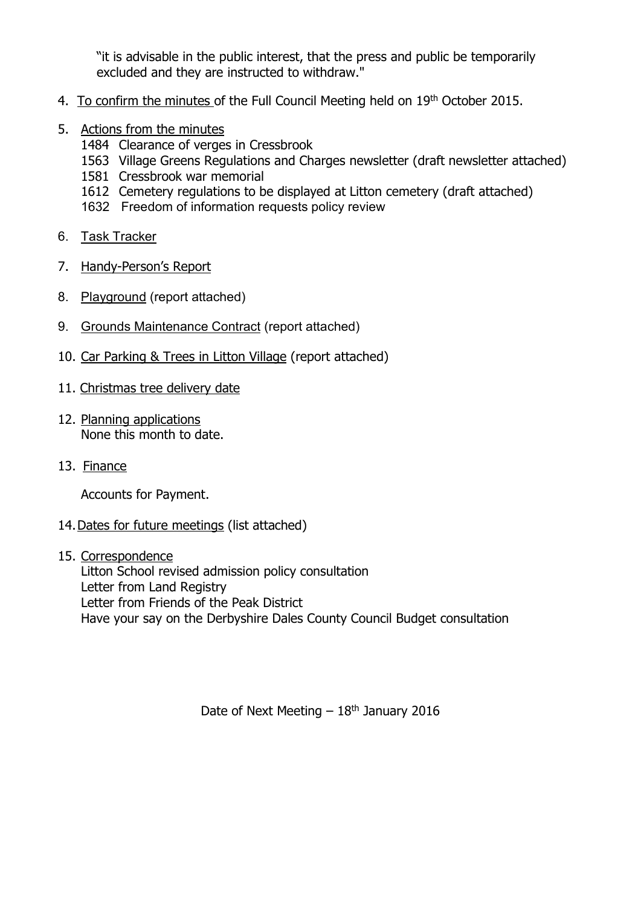"it is advisable in the public interest, that the press and public be temporarily excluded and they are instructed to withdraw."

- 4. To confirm the minutes of the Full Council Meeting held on 19th October 2015.
- 5. Actions from the minutes
	- 1484 Clearance of verges in Cressbrook
	- 1563 Village Greens Regulations and Charges newsletter (draft newsletter attached)
	- 1581 Cressbrook war memorial
	- 1612 Cemetery regulations to be displayed at Litton cemetery (draft attached)
	- 1632 Freedom of information requests policy review
- 6. Task Tracker
- 7. Handy-Person's Report
- 8. Playground (report attached)
- 9. Grounds Maintenance Contract (report attached)
- 10. Car Parking & Trees in Litton Village (report attached)
- 11. Christmas tree delivery date
- 12. Planning applications None this month to date.
- 13. Finance

Accounts for Payment.

14. Dates for future meetings (list attached)

# 15. Correspondence

 Litton School revised admission policy consultation Letter from Land Registry Letter from Friends of the Peak District Have your say on the Derbyshire Dales County Council Budget consultation

Date of Next Meeting  $-18<sup>th</sup>$  January 2016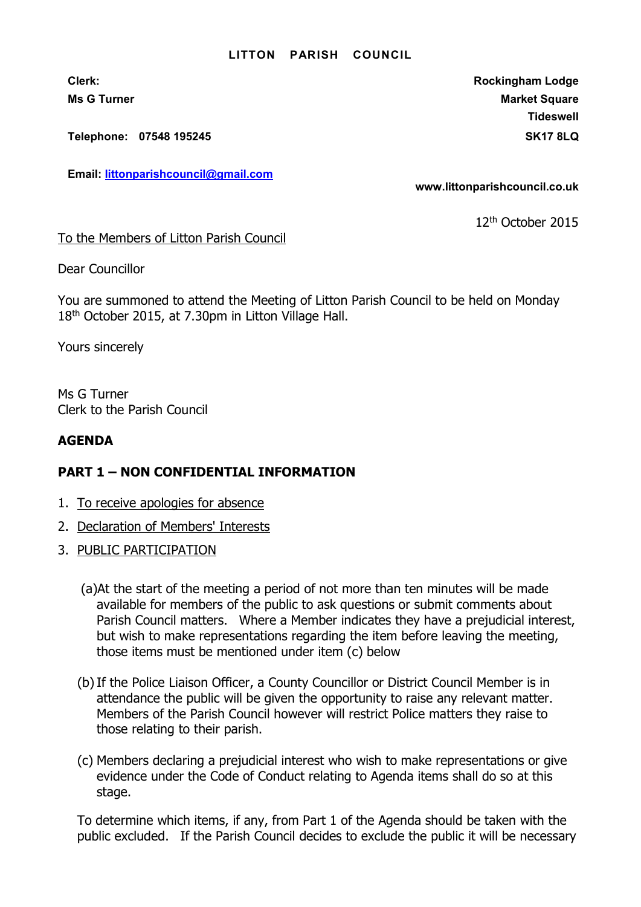Telephone: 07548 195245 SK17 8LQ

Email: littonparishcouncil@gmail.com

Clerk: Rockingham Lodge Ms G Turner Market Square Market Square Market Square **Tideswell** 

www.littonparishcouncil.co.uk

12th October 2015

## To the Members of Litton Parish Council

Dear Councillor

You are summoned to attend the Meeting of Litton Parish Council to be held on Monday 18<sup>th</sup> October 2015, at 7.30pm in Litton Village Hall.

Yours sincerely

Ms G Turner Clerk to the Parish Council

# AGENDA

# PART 1 – NON CONFIDENTIAL INFORMATION

- 1. To receive apologies for absence
- 2. Declaration of Members' Interests
- 3. PUBLIC PARTICIPATION
	- (a)At the start of the meeting a period of not more than ten minutes will be made available for members of the public to ask questions or submit comments about Parish Council matters. Where a Member indicates they have a prejudicial interest, but wish to make representations regarding the item before leaving the meeting, those items must be mentioned under item (c) below
	- (b) If the Police Liaison Officer, a County Councillor or District Council Member is in attendance the public will be given the opportunity to raise any relevant matter. Members of the Parish Council however will restrict Police matters they raise to those relating to their parish.
	- (c) Members declaring a prejudicial interest who wish to make representations or give evidence under the Code of Conduct relating to Agenda items shall do so at this stage.

To determine which items, if any, from Part 1 of the Agenda should be taken with the public excluded. If the Parish Council decides to exclude the public it will be necessary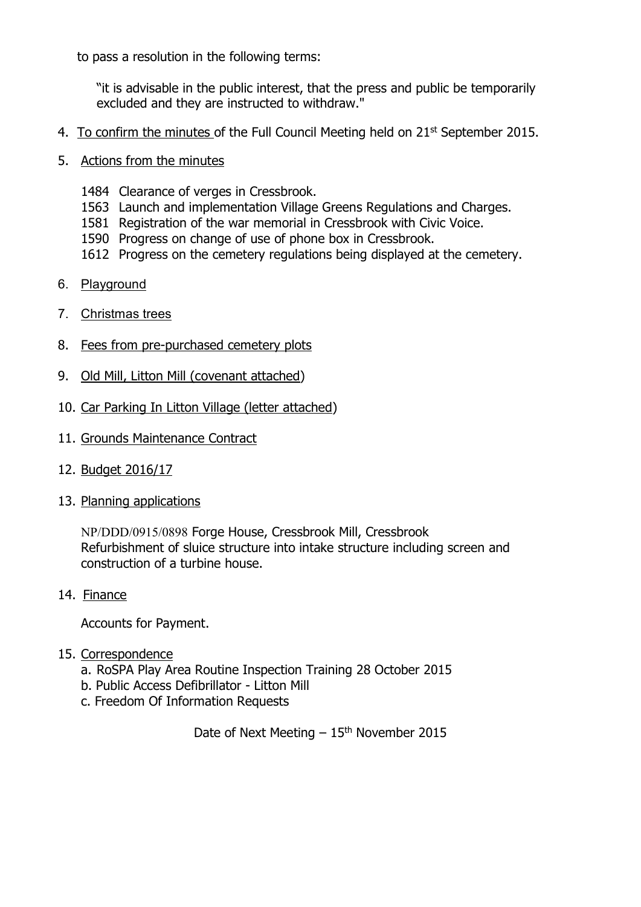to pass a resolution in the following terms:

"it is advisable in the public interest, that the press and public be temporarily excluded and they are instructed to withdraw."

- 4. To confirm the minutes of the Full Council Meeting held on 21<sup>st</sup> September 2015.
- 5. Actions from the minutes
	- 1484 Clearance of verges in Cressbrook.
	- 1563 Launch and implementation Village Greens Regulations and Charges.
	- 1581 Registration of the war memorial in Cressbrook with Civic Voice.
	- 1590 Progress on change of use of phone box in Cressbrook.
	- 1612 Progress on the cemetery regulations being displayed at the cemetery.
- 6. Playground
- 7. Christmas trees
- 8. Fees from pre-purchased cemetery plots
- 9. Old Mill, Litton Mill (covenant attached)
- 10. Car Parking In Litton Village (letter attached)
- 11. Grounds Maintenance Contract
- 12. Budget 2016/17
- 13. Planning applications

NP/DDD/0915/0898 Forge House, Cressbrook Mill, Cressbrook Refurbishment of sluice structure into intake structure including screen and construction of a turbine house.

14. Finance

Accounts for Payment.

- 15. Correspondence
	- a. RoSPA Play Area Routine Inspection Training 28 October 2015
	- b. Public Access Defibrillator Litton Mill
	- c. Freedom Of Information Requests

Date of Next Meeting  $-15$ <sup>th</sup> November 2015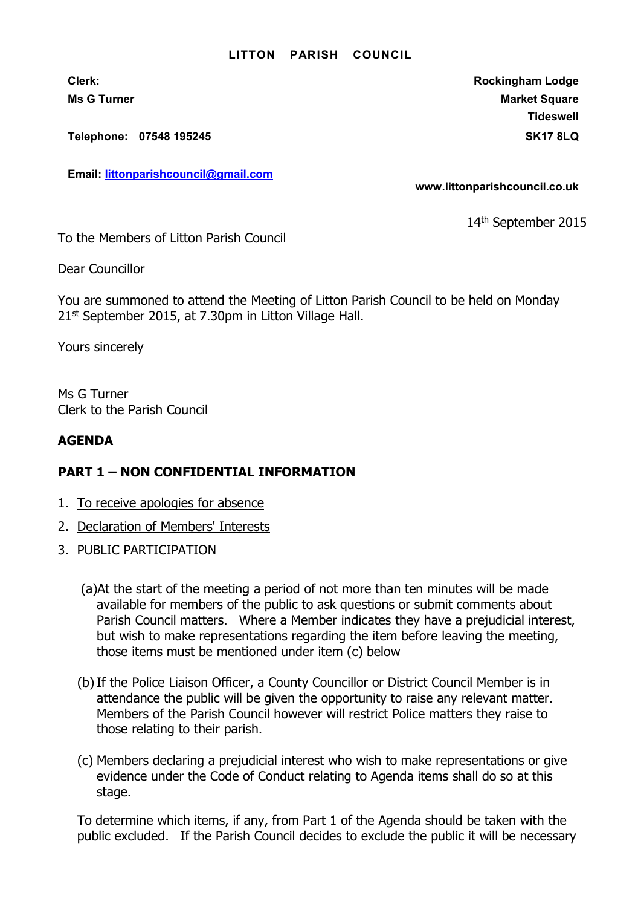Telephone: 07548 195245 SK17 8LQ

Email: littonparishcouncil@gmail.com

Clerk: Rockingham Lodge Ms G Turner Market Square Market Square Market Square **Tideswell** 

www.littonparishcouncil.co.uk

14<sup>th</sup> September 2015

# To the Members of Litton Parish Council

Dear Councillor

You are summoned to attend the Meeting of Litton Parish Council to be held on Monday 21<sup>st</sup> September 2015, at 7.30pm in Litton Village Hall.

Yours sincerely

Ms G Turner Clerk to the Parish Council

# AGENDA

# PART 1 – NON CONFIDENTIAL INFORMATION

- 1. To receive apologies for absence
- 2. Declaration of Members' Interests
- 3. PUBLIC PARTICIPATION
	- (a)At the start of the meeting a period of not more than ten minutes will be made available for members of the public to ask questions or submit comments about Parish Council matters. Where a Member indicates they have a prejudicial interest, but wish to make representations regarding the item before leaving the meeting, those items must be mentioned under item (c) below
	- (b) If the Police Liaison Officer, a County Councillor or District Council Member is in attendance the public will be given the opportunity to raise any relevant matter. Members of the Parish Council however will restrict Police matters they raise to those relating to their parish.
	- (c) Members declaring a prejudicial interest who wish to make representations or give evidence under the Code of Conduct relating to Agenda items shall do so at this stage.

To determine which items, if any, from Part 1 of the Agenda should be taken with the public excluded. If the Parish Council decides to exclude the public it will be necessary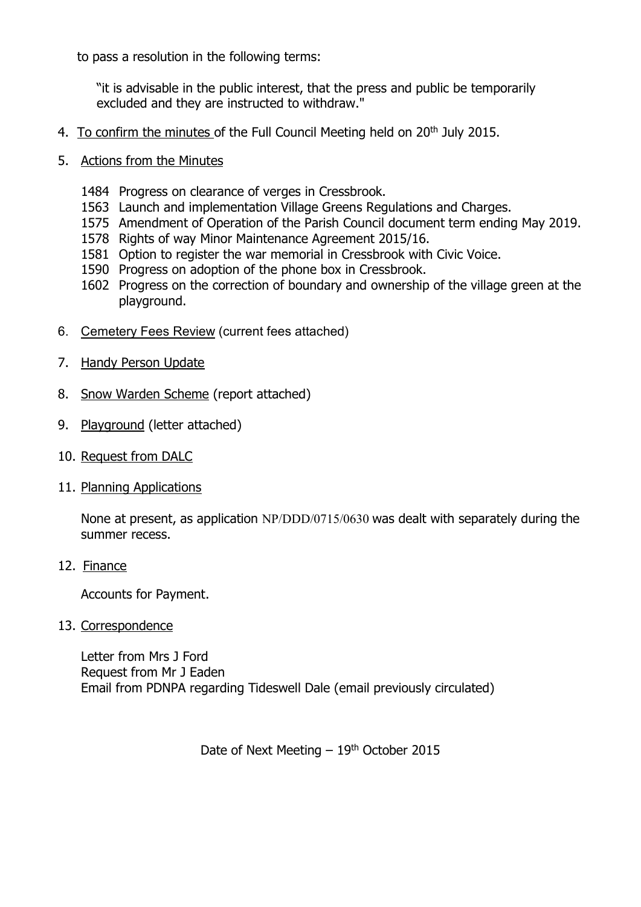to pass a resolution in the following terms:

"it is advisable in the public interest, that the press and public be temporarily excluded and they are instructed to withdraw."

- 4. To confirm the minutes of the Full Council Meeting held on 20<sup>th</sup> July 2015.
- 5. Actions from the Minutes
	- 1484 Progress on clearance of verges in Cressbrook.
	- 1563 Launch and implementation Village Greens Regulations and Charges.
	- 1575 Amendment of Operation of the Parish Council document term ending May 2019.
	- 1578 Rights of way Minor Maintenance Agreement 2015/16.
	- 1581 Option to register the war memorial in Cressbrook with Civic Voice.
	- 1590 Progress on adoption of the phone box in Cressbrook.
	- 1602 Progress on the correction of boundary and ownership of the village green at the playground.
- 6. Cemetery Fees Review (current fees attached)
- 7. Handy Person Update
- 8. Snow Warden Scheme (report attached)
- 9. Playground (letter attached)
- 10. Request from DALC
- 11. Planning Applications

 None at present, as application NP/DDD/0715/0630 was dealt with separately during the summer recess.

12. Finance

Accounts for Payment.

13. Correspondence

 Letter from Mrs J Ford Request from Mr J Eaden Email from PDNPA regarding Tideswell Dale (email previously circulated)

Date of Next Meeting  $-19<sup>th</sup>$  October 2015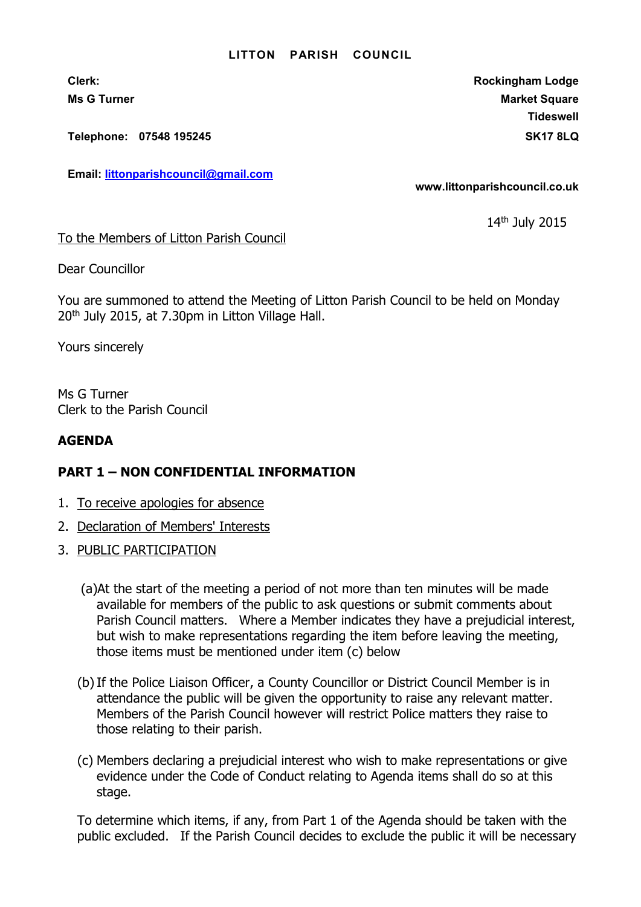Telephone: 07548 195245 SK17 8LQ

Email: littonparishcouncil@gmail.com

Clerk: Rockingham Lodge Ms G Turner Market Square Market Square Market Square **Tideswell** 

www.littonparishcouncil.co.uk

14th July 2015

## To the Members of Litton Parish Council

Dear Councillor

You are summoned to attend the Meeting of Litton Parish Council to be held on Monday 20<sup>th</sup> July 2015, at 7.30pm in Litton Village Hall.

Yours sincerely

Ms G Turner Clerk to the Parish Council

# AGENDA

# PART 1 – NON CONFIDENTIAL INFORMATION

- 1. To receive apologies for absence
- 2. Declaration of Members' Interests
- 3. PUBLIC PARTICIPATION
	- (a)At the start of the meeting a period of not more than ten minutes will be made available for members of the public to ask questions or submit comments about Parish Council matters. Where a Member indicates they have a prejudicial interest, but wish to make representations regarding the item before leaving the meeting, those items must be mentioned under item (c) below
	- (b) If the Police Liaison Officer, a County Councillor or District Council Member is in attendance the public will be given the opportunity to raise any relevant matter. Members of the Parish Council however will restrict Police matters they raise to those relating to their parish.
	- (c) Members declaring a prejudicial interest who wish to make representations or give evidence under the Code of Conduct relating to Agenda items shall do so at this stage.

To determine which items, if any, from Part 1 of the Agenda should be taken with the public excluded. If the Parish Council decides to exclude the public it will be necessary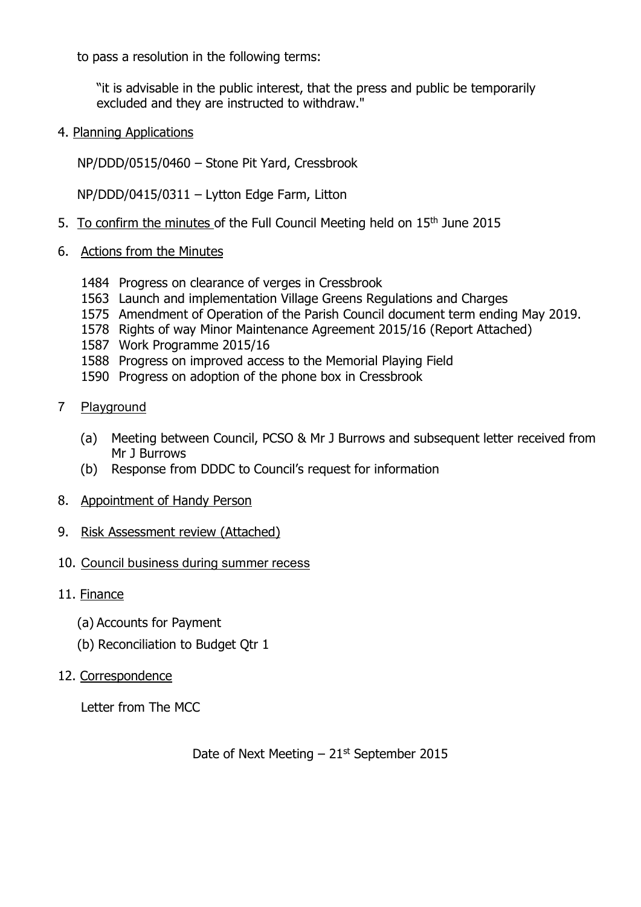to pass a resolution in the following terms:

"it is advisable in the public interest, that the press and public be temporarily excluded and they are instructed to withdraw."

4. Planning Applications

NP/DDD/0515/0460 – Stone Pit Yard, Cressbrook

NP/DDD/0415/0311 – Lytton Edge Farm, Litton

- 5. To confirm the minutes of the Full Council Meeting held on 15<sup>th</sup> June 2015
- 6. Actions from the Minutes
	- 1484 Progress on clearance of verges in Cressbrook
	- 1563 Launch and implementation Village Greens Regulations and Charges
	- 1575 Amendment of Operation of the Parish Council document term ending May 2019.
	- 1578 Rights of way Minor Maintenance Agreement 2015/16 (Report Attached)
	- 1587 Work Programme 2015/16
	- 1588 Progress on improved access to the Memorial Playing Field
	- 1590 Progress on adoption of the phone box in Cressbrook
- 7 Playground
	- (a) Meeting between Council, PCSO & Mr J Burrows and subsequent letter received from Mr J Burrows
	- (b) Response from DDDC to Council's request for information
- 8. Appointment of Handy Person
- 9. Risk Assessment review (Attached)

# 10. Council business during summer recess

- 11. Finance
	- (a) Accounts for Payment
	- (b) Reconciliation to Budget Qtr 1
- 12. Correspondence

Letter from The MCC

Date of Next Meeting  $-21$ <sup>st</sup> September 2015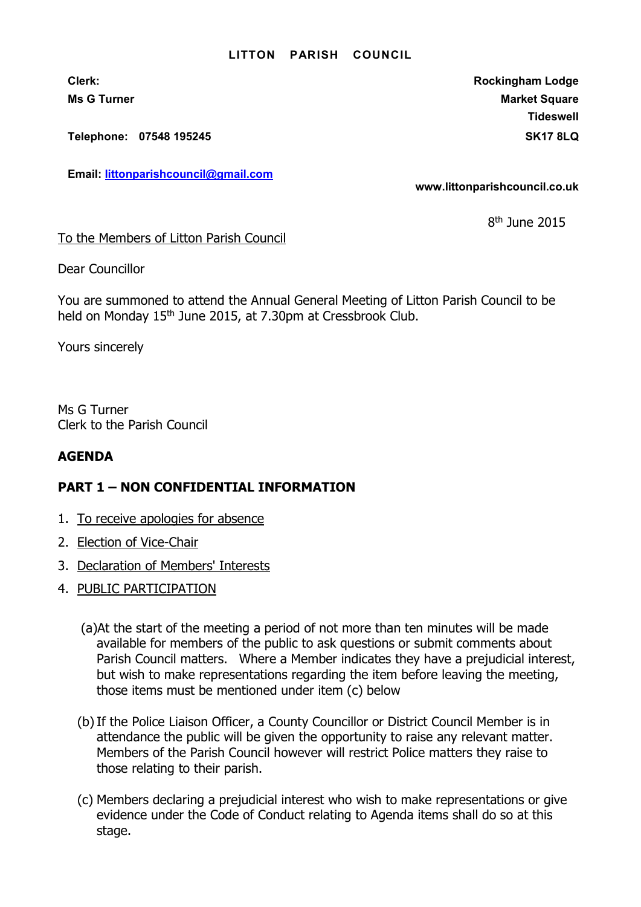Telephone: 07548 195245 SK17 8LQ

Email: littonparishcouncil@gmail.com

Clerk: Rockingham Lodge Ms G Turner Market Square Market Square Market Square **Tideswell** 

www.littonparishcouncil.co.uk

8th June 2015

## To the Members of Litton Parish Council

Dear Councillor

You are summoned to attend the Annual General Meeting of Litton Parish Council to be held on Monday 15<sup>th</sup> June 2015, at 7.30pm at Cressbrook Club.

Yours sincerely

Ms G Turner Clerk to the Parish Council

# **AGENDA**

# PART 1 – NON CONFIDENTIAL INFORMATION

- 1. To receive apologies for absence
- 2. Election of Vice-Chair
- 3. Declaration of Members' Interests
- 4. PUBLIC PARTICIPATION
	- (a)At the start of the meeting a period of not more than ten minutes will be made available for members of the public to ask questions or submit comments about Parish Council matters. Where a Member indicates they have a prejudicial interest, but wish to make representations regarding the item before leaving the meeting, those items must be mentioned under item (c) below
	- (b) If the Police Liaison Officer, a County Councillor or District Council Member is in attendance the public will be given the opportunity to raise any relevant matter. Members of the Parish Council however will restrict Police matters they raise to those relating to their parish.
	- (c) Members declaring a prejudicial interest who wish to make representations or give evidence under the Code of Conduct relating to Agenda items shall do so at this stage.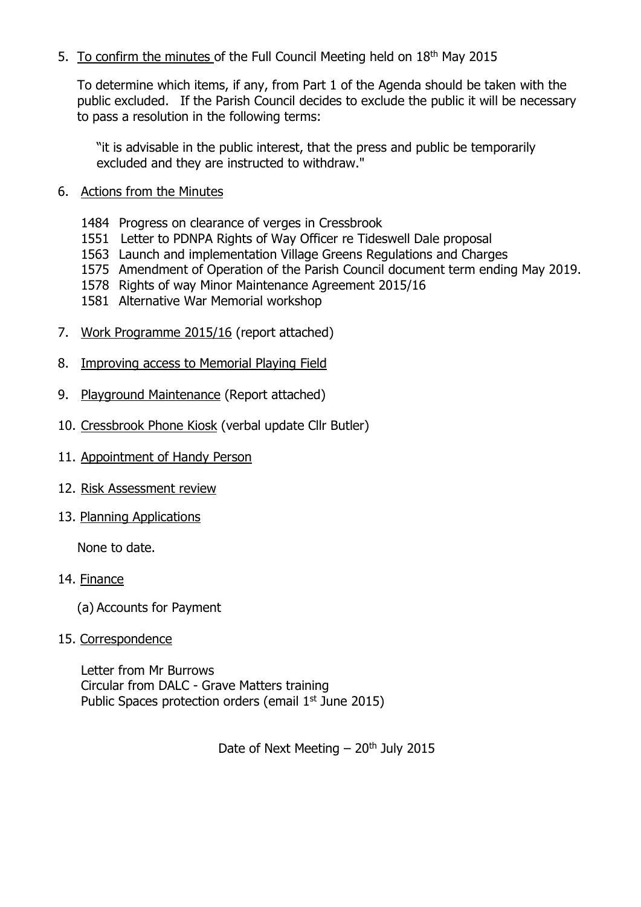5. To confirm the minutes of the Full Council Meeting held on 18<sup>th</sup> May 2015

To determine which items, if any, from Part 1 of the Agenda should be taken with the public excluded. If the Parish Council decides to exclude the public it will be necessary to pass a resolution in the following terms:

"it is advisable in the public interest, that the press and public be temporarily excluded and they are instructed to withdraw."

- 6. Actions from the Minutes
	- 1484 Progress on clearance of verges in Cressbrook
	- 1551 Letter to PDNPA Rights of Way Officer re Tideswell Dale proposal
	- 1563 Launch and implementation Village Greens Regulations and Charges
	- 1575 Amendment of Operation of the Parish Council document term ending May 2019.
	- 1578 Rights of way Minor Maintenance Agreement 2015/16
	- 1581 Alternative War Memorial workshop
- 7. Work Programme 2015/16 (report attached)
- 8. Improving access to Memorial Playing Field
- 9. Playground Maintenance (Report attached)
- 10. Cressbrook Phone Kiosk (verbal update Cllr Butler)
- 11. Appointment of Handy Person
- 12. Risk Assessment review
- 13. Planning Applications

None to date.

- 14. Finance
	- (a) Accounts for Payment
- 15. Correspondence

 Letter from Mr Burrows Circular from DALC - Grave Matters training Public Spaces protection orders (email 1st June 2015)

Date of Next Meeting  $-20$ <sup>th</sup> July 2015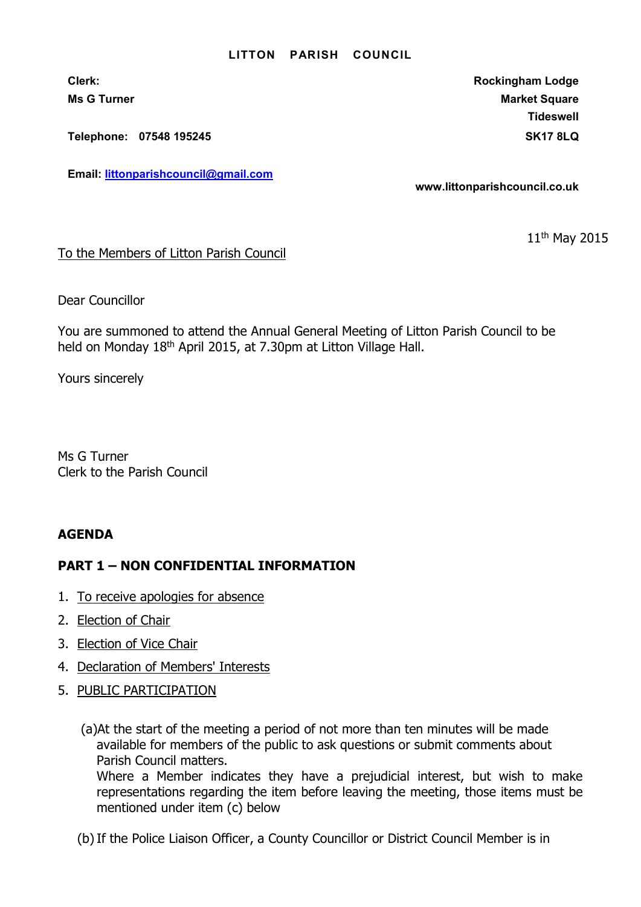Telephone: 07548 195245 SK17 8LQ

Email: littonparishcouncil@gmail.com

Clerk: Clerk: Rockingham Lodge Ms G Turner Market Square Market Square Market Square **Tideswell** 

www.littonparishcouncil.co.uk

11th May 2015

To the Members of Litton Parish Council

Dear Councillor

You are summoned to attend the Annual General Meeting of Litton Parish Council to be held on Monday 18<sup>th</sup> April 2015, at 7.30pm at Litton Village Hall.

Yours sincerely

Ms G Turner Clerk to the Parish Council

## AGENDA

## PART 1 – NON CONFIDENTIAL INFORMATION

- 1. To receive apologies for absence
- 2. Election of Chair
- 3. Election of Vice Chair
- 4. Declaration of Members' Interests
- 5. PUBLIC PARTICIPATION
	- (a)At the start of the meeting a period of not more than ten minutes will be made available for members of the public to ask questions or submit comments about Parish Council matters. Where a Member indicates they have a prejudicial interest, but wish to make representations regarding the item before leaving the meeting, those items must be mentioned under item (c) below
	- (b) If the Police Liaison Officer, a County Councillor or District Council Member is in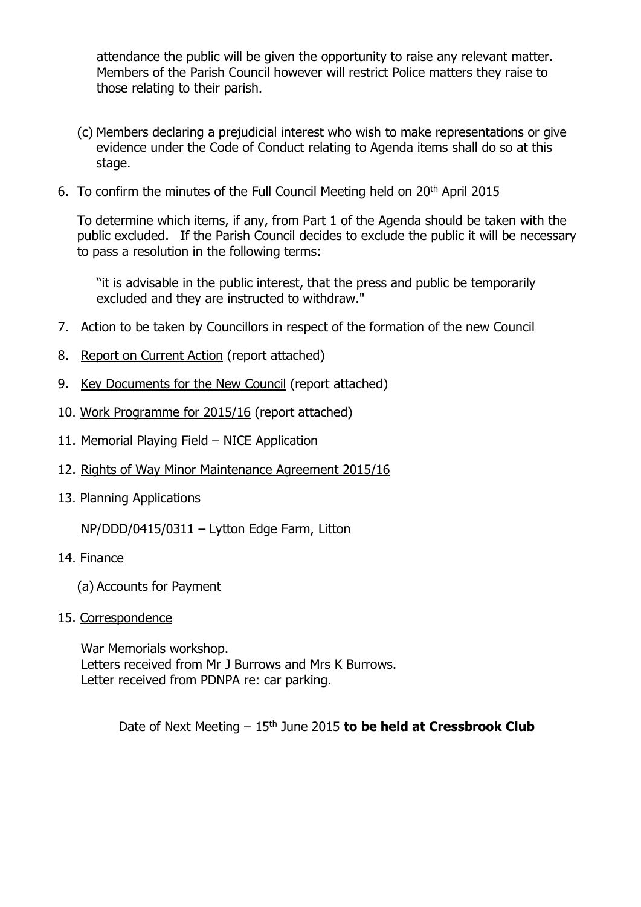attendance the public will be given the opportunity to raise any relevant matter. Members of the Parish Council however will restrict Police matters they raise to those relating to their parish.

- (c) Members declaring a prejudicial interest who wish to make representations or give evidence under the Code of Conduct relating to Agenda items shall do so at this stage.
- 6. To confirm the minutes of the Full Council Meeting held on 20th April 2015

To determine which items, if any, from Part 1 of the Agenda should be taken with the public excluded. If the Parish Council decides to exclude the public it will be necessary to pass a resolution in the following terms:

"it is advisable in the public interest, that the press and public be temporarily excluded and they are instructed to withdraw."

- 7. Action to be taken by Councillors in respect of the formation of the new Council
- 8. Report on Current Action (report attached)
- 9. Key Documents for the New Council (report attached)
- 10. Work Programme for 2015/16 (report attached)
- 11. Memorial Playing Field NICE Application
- 12. Rights of Way Minor Maintenance Agreement 2015/16
- 13. Planning Applications

NP/DDD/0415/0311 – Lytton Edge Farm, Litton

- 14. Finance
	- (a) Accounts for Payment
- 15. Correspondence

War Memorials workshop. Letters received from Mr J Burrows and Mrs K Burrows. Letter received from PDNPA re: car parking.

Date of Next Meeting  $-15<sup>th</sup>$  June 2015 to be held at Cressbrook Club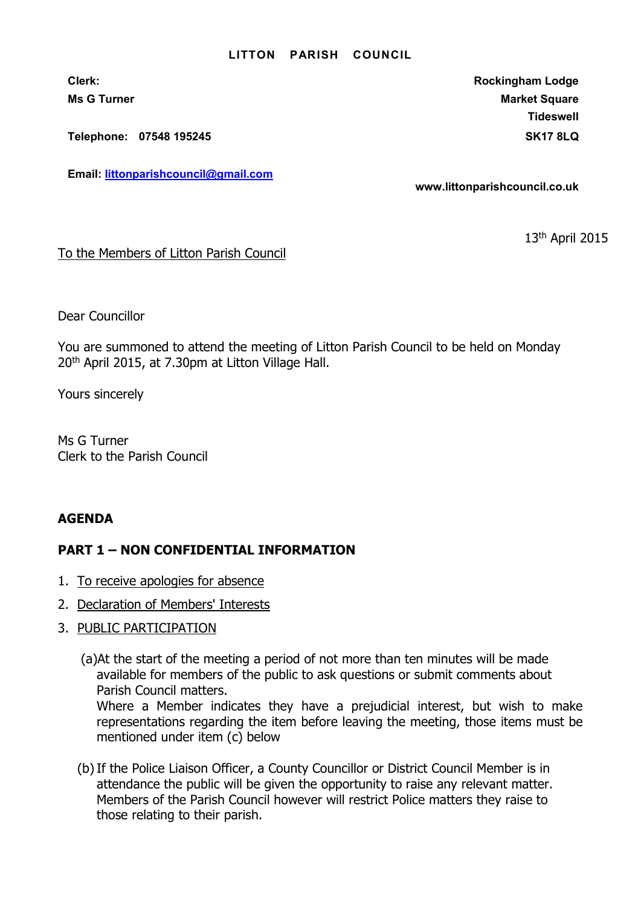Telephone: 07548 195245 SK17 8LQ

Email: littonparishcouncil@gmail.com

Clerk: Rockingham Lodge Ms G Turner Market Square Market Square Market Square **Tideswell** 

www.littonparishcouncil.co.uk

13th April 2015

To the Members of Litton Parish Council

Dear Councillor

You are summoned to attend the meeting of Litton Parish Council to be held on Monday 20th April 2015, at 7.30pm at Litton Village Hall.

Yours sincerely

Ms G Turner Clerk to the Parish Council

# AGENDA

# PART 1 – NON CONFIDENTIAL INFORMATION

- 1. To receive apologies for absence
- 2. Declaration of Members' Interests
- 3. PUBLIC PARTICIPATION
	- (a)At the start of the meeting a period of not more than ten minutes will be made available for members of the public to ask questions or submit comments about Parish Council matters.

Where a Member indicates they have a prejudicial interest, but wish to make representations regarding the item before leaving the meeting, those items must be mentioned under item (c) below

(b) If the Police Liaison Officer, a County Councillor or District Council Member is in attendance the public will be given the opportunity to raise any relevant matter. Members of the Parish Council however will restrict Police matters they raise to those relating to their parish.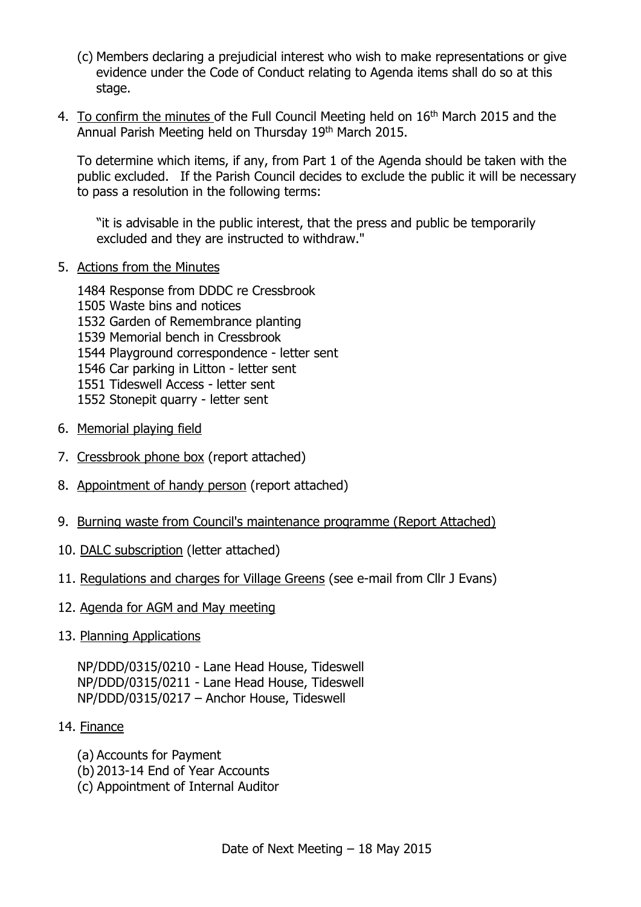- (c) Members declaring a prejudicial interest who wish to make representations or give evidence under the Code of Conduct relating to Agenda items shall do so at this stage.
- 4. To confirm the minutes of the Full Council Meeting held on 16th March 2015 and the Annual Parish Meeting held on Thursday 19th March 2015.

To determine which items, if any, from Part 1 of the Agenda should be taken with the public excluded. If the Parish Council decides to exclude the public it will be necessary to pass a resolution in the following terms:

"it is advisable in the public interest, that the press and public be temporarily excluded and they are instructed to withdraw."

5. Actions from the Minutes

1484 Response from DDDC re Cressbrook 1505 Waste bins and notices 1532 Garden of Remembrance planting 1539 Memorial bench in Cressbrook 1544 Playground correspondence - letter sent 1546 Car parking in Litton - letter sent 1551 Tideswell Access - letter sent 1552 Stonepit quarry - letter sent

- 6. Memorial playing field
- 7. Cressbrook phone box (report attached)
- 8. Appointment of handy person (report attached)
- 9. Burning waste from Council's maintenance programme (Report Attached)
- 10. DALC subscription (letter attached)
- 11. Regulations and charges for Village Greens (see e-mail from Cllr J Evans)
- 12. Agenda for AGM and May meeting
- 13. Planning Applications

 NP/DDD/0315/0210 - Lane Head House, Tideswell NP/DDD/0315/0211 - Lane Head House, Tideswell NP/DDD/0315/0217 – Anchor House, Tideswell

- 14. Finance
	- (a) Accounts for Payment
	- (b) 2013-14 End of Year Accounts
	- (c) Appointment of Internal Auditor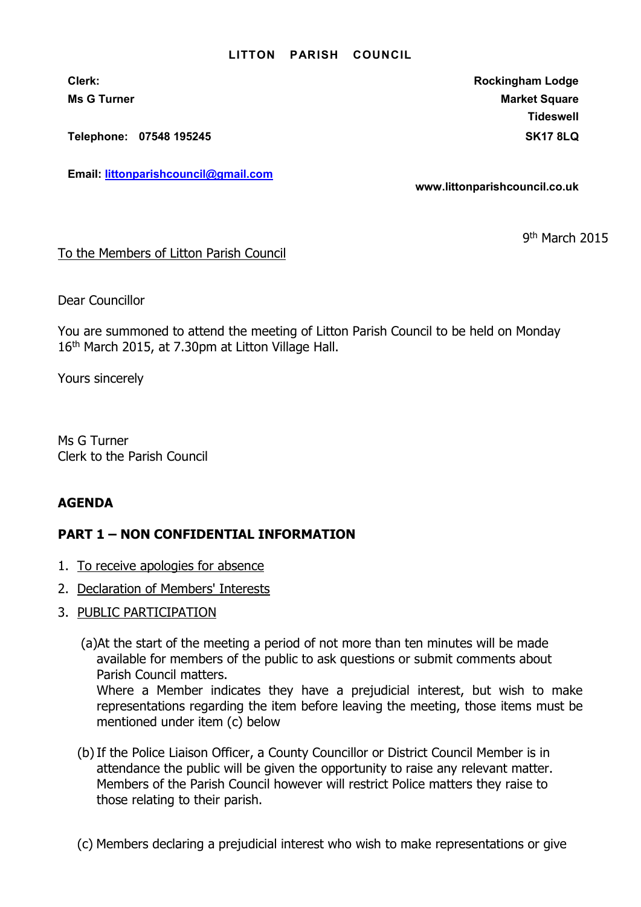Telephone: 07548 195245 SK17 8LQ

Email: littonparishcouncil@gmail.com

Clerk: Rockingham Lodge Ms G Turner Market Square Market Square Market Square **Tideswell** 

www.littonparishcouncil.co.uk

9<sup>th</sup> March 2015

### To the Members of Litton Parish Council

Dear Councillor

You are summoned to attend the meeting of Litton Parish Council to be held on Monday 16th March 2015, at 7.30pm at Litton Village Hall.

Yours sincerely

Ms G Turner Clerk to the Parish Council

## AGENDA

## PART 1 – NON CONFIDENTIAL INFORMATION

- 1. To receive apologies for absence
- 2. Declaration of Members' Interests
- 3. PUBLIC PARTICIPATION
	- (a)At the start of the meeting a period of not more than ten minutes will be made available for members of the public to ask questions or submit comments about Parish Council matters. Where a Member indicates they have a prejudicial interest, but wish to make representations regarding the item before leaving the meeting, those items must be mentioned under item (c) below
	- (b) If the Police Liaison Officer, a County Councillor or District Council Member is in attendance the public will be given the opportunity to raise any relevant matter. Members of the Parish Council however will restrict Police matters they raise to those relating to their parish.

(c) Members declaring a prejudicial interest who wish to make representations or give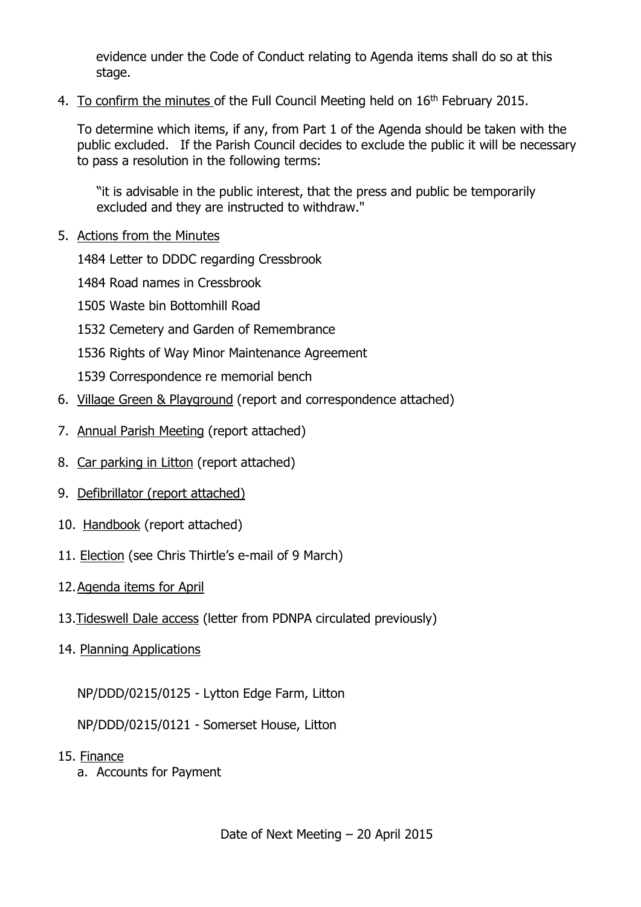evidence under the Code of Conduct relating to Agenda items shall do so at this stage.

4. To confirm the minutes of the Full Council Meeting held on 16<sup>th</sup> February 2015.

To determine which items, if any, from Part 1 of the Agenda should be taken with the public excluded. If the Parish Council decides to exclude the public it will be necessary to pass a resolution in the following terms:

"it is advisable in the public interest, that the press and public be temporarily excluded and they are instructed to withdraw."

5. Actions from the Minutes

1484 Letter to DDDC regarding Cressbrook

- 1484 Road names in Cressbrook
- 1505 Waste bin Bottomhill Road
- 1532 Cemetery and Garden of Remembrance
- 1536 Rights of Way Minor Maintenance Agreement
- 1539 Correspondence re memorial bench
- 6. Village Green & Playground (report and correspondence attached)
- 7. Annual Parish Meeting (report attached)
- 8. Car parking in Litton (report attached)
- 9. Defibrillator (report attached)
- 10. Handbook (report attached)
- 11. Election (see Chris Thirtle's e-mail of 9 March)
- 12. Agenda items for April
- 13.Tideswell Dale access (letter from PDNPA circulated previously)
- 14. Planning Applications

NP/DDD/0215/0125 - Lytton Edge Farm, Litton

NP/DDD/0215/0121 - Somerset House, Litton

- 15. Finance
	- a. Accounts for Payment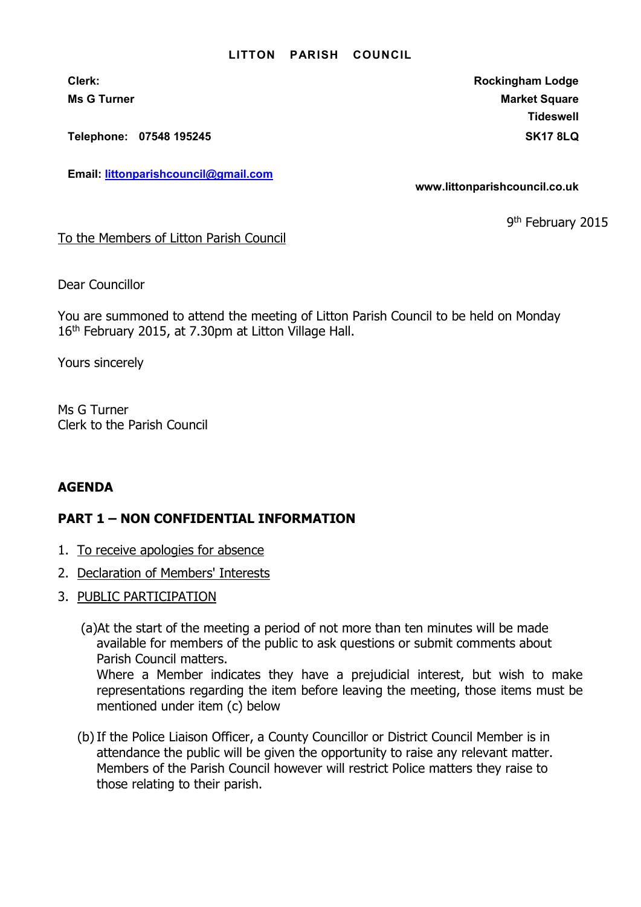Telephone: 07548 195245 SK17 8LQ

Email: littonparishcouncil@gmail.com

Clerk: Rockingham Lodge Ms G Turner Market Square Market Square Market Square Market Square Market Square **Tideswell** 

www.littonparishcouncil.co.uk

9<sup>th</sup> February 2015

## To the Members of Litton Parish Council

Dear Councillor

You are summoned to attend the meeting of Litton Parish Council to be held on Monday 16th February 2015, at 7.30pm at Litton Village Hall.

Yours sincerely

Ms G Turner Clerk to the Parish Council

# AGENDA

# PART 1 – NON CONFIDENTIAL INFORMATION

- 1. To receive apologies for absence
- 2. Declaration of Members' Interests
- 3. PUBLIC PARTICIPATION
	- (a)At the start of the meeting a period of not more than ten minutes will be made available for members of the public to ask questions or submit comments about Parish Council matters.

Where a Member indicates they have a prejudicial interest, but wish to make representations regarding the item before leaving the meeting, those items must be mentioned under item (c) below

(b) If the Police Liaison Officer, a County Councillor or District Council Member is in attendance the public will be given the opportunity to raise any relevant matter. Members of the Parish Council however will restrict Police matters they raise to those relating to their parish.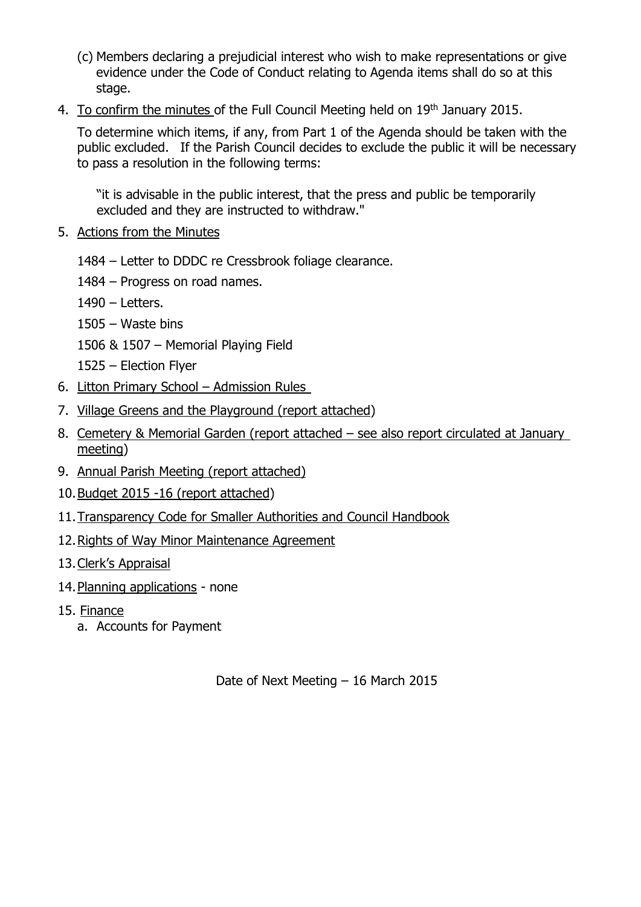- (c) Members declaring a prejudicial interest who wish to make representations or give evidence under the Code of Conduct relating to Agenda items shall do so at this stage.
- 4. To confirm the minutes of the Full Council Meeting held on 19<sup>th</sup> January 2015.

To determine which items, if any, from Part 1 of the Agenda should be taken with the public excluded. If the Parish Council decides to exclude the public it will be necessary to pass a resolution in the following terms:

"it is advisable in the public interest, that the press and public be temporarily excluded and they are instructed to withdraw."

5. Actions from the Minutes

1484 – Letter to DDDC re Cressbrook foliage clearance.

- 1484 Progress on road names.
- 1490 Letters.
- 1505 Waste bins
- 1506 & 1507 Memorial Playing Field

1525 – Election Flyer

- 6. Litton Primary School Admission Rules
- 7. Village Greens and the Playground (report attached)
- 8. Cemetery & Memorial Garden (report attached see also report circulated at January meeting)
- 9. Annual Parish Meeting (report attached)
- 10. Budget 2015 -16 (report attached)
- 11. Transparency Code for Smaller Authorities and Council Handbook
- 12. Rights of Way Minor Maintenance Agreement
- 13. Clerk's Appraisal
- 14. Planning applications none
- 15. Finance
	- a. Accounts for Payment

Date of Next Meeting – 16 March 2015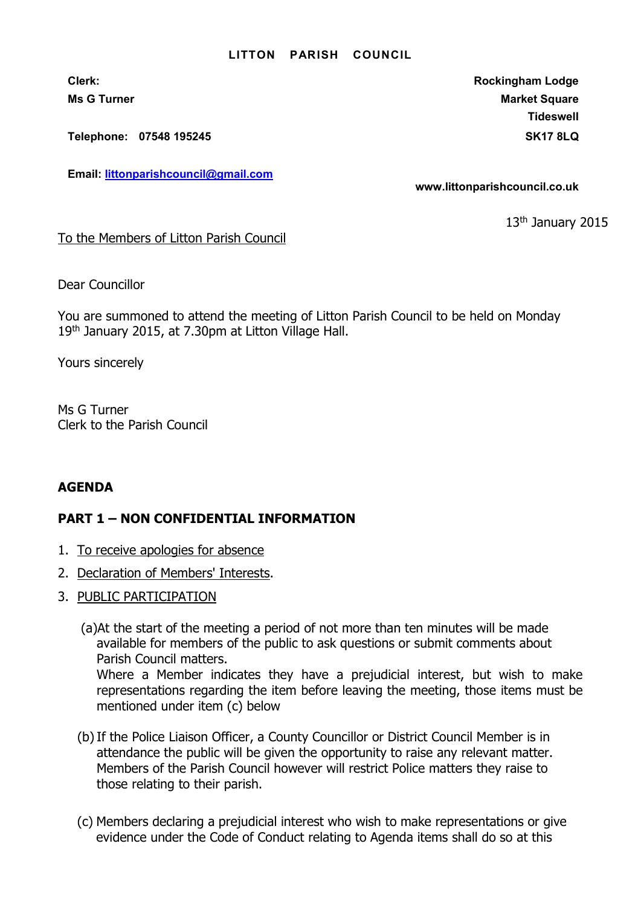Telephone: 07548 195245 SK17 8LQ

Email: littonparishcouncil@gmail.com

Clerk: Rockingham Lodge Ms G Turner Market Square Market Square Market Square Market Square Market Square **Tideswell** 

www.littonparishcouncil.co.uk

13<sup>th</sup> January 2015

### To the Members of Litton Parish Council

Dear Councillor

You are summoned to attend the meeting of Litton Parish Council to be held on Monday 19th January 2015, at 7.30pm at Litton Village Hall.

Yours sincerely

Ms G Turner Clerk to the Parish Council

## AGENDA

# PART 1 – NON CONFIDENTIAL INFORMATION

- 1. To receive apologies for absence
- 2. Declaration of Members' Interests.
- 3. PUBLIC PARTICIPATION
	- (a)At the start of the meeting a period of not more than ten minutes will be made available for members of the public to ask questions or submit comments about Parish Council matters.

Where a Member indicates they have a prejudicial interest, but wish to make representations regarding the item before leaving the meeting, those items must be mentioned under item (c) below

- (b) If the Police Liaison Officer, a County Councillor or District Council Member is in attendance the public will be given the opportunity to raise any relevant matter. Members of the Parish Council however will restrict Police matters they raise to those relating to their parish.
- (c) Members declaring a prejudicial interest who wish to make representations or give evidence under the Code of Conduct relating to Agenda items shall do so at this